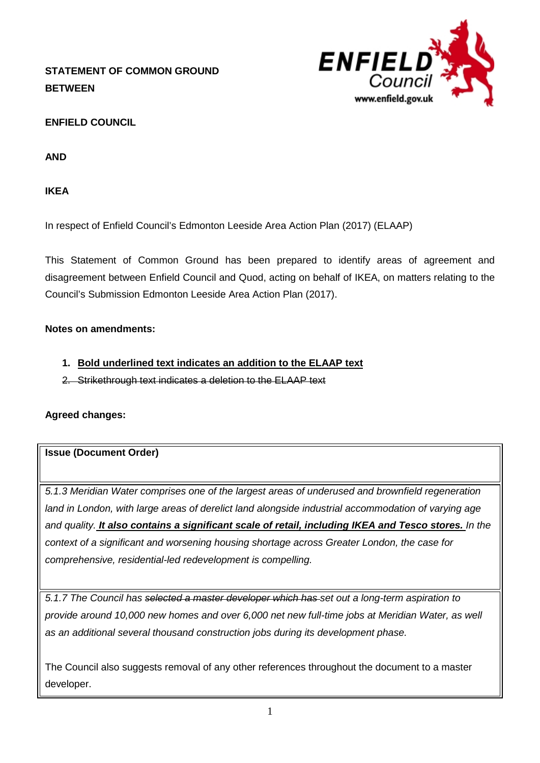# **STATEMENT OF COMMON GROUND BETWEEN**



# **ENFIELD COUNCIL**

**AND**

**IKEA**

In respect of Enfield Council's Edmonton Leeside Area Action Plan (2017) (ELAAP)

This Statement of Common Ground has been prepared to identify areas of agreement and disagreement between Enfield Council and Quod, acting on behalf of IKEA, on matters relating to the Council's Submission Edmonton Leeside Area Action Plan (2017).

### **Notes on amendments:**

- **1. Bold underlined text indicates an addition to the ELAAP text**
- 2. Strikethrough text indicates a deletion to the ELAAP text

### **Agreed changes:**

### **Issue (Document Order)**

*5.1.3 Meridian Water comprises one of the largest areas of underused and brownfield regeneration land in London, with large areas of derelict land alongside industrial accommodation of varying age and quality. It also contains a significant scale of retail, including IKEA and Tesco stores. In the context of a significant and worsening housing shortage across Greater London, the case for comprehensive, residential-led redevelopment is compelling.*

*5.1.7 The Council has selected a master developer which has set out a long-term aspiration to provide around 10,000 new homes and over 6,000 net new full-time jobs at Meridian Water, as well as an additional several thousand construction jobs during its development phase.*

The Council also suggests removal of any other references throughout the document to a master developer.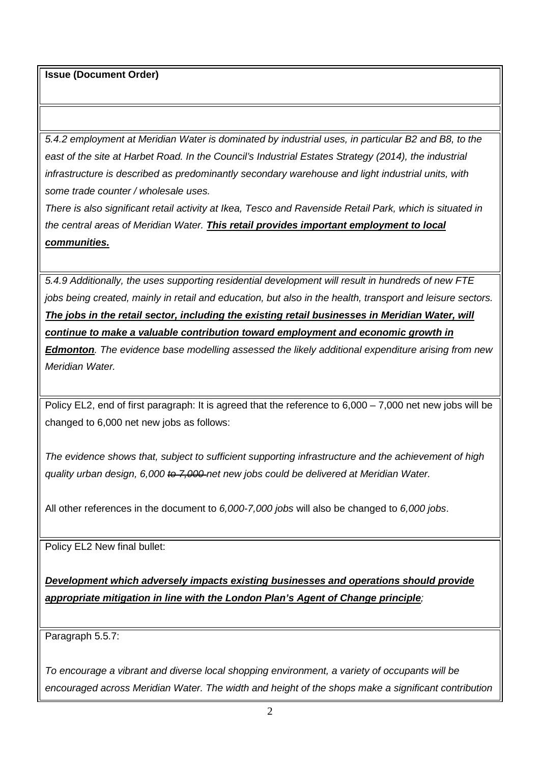*5.4.2 employment at Meridian Water is dominated by industrial uses, in particular B2 and B8, to the east of the site at Harbet Road. In the Council's Industrial Estates Strategy (2014), the industrial infrastructure is described as predominantly secondary warehouse and light industrial units, with some trade counter / wholesale uses.*

*There is also significant retail activity at Ikea, Tesco and Ravenside Retail Park, which is situated in the central areas of Meridian Water. This retail provides important employment to local communities.*

*5.4.9 Additionally, the uses supporting residential development will result in hundreds of new FTE jobs being created, mainly in retail and education, but also in the health, transport and leisure sectors. The jobs in the retail sector, including the existing retail businesses in Meridian Water, will continue to make a valuable contribution toward employment and economic growth in* 

*Edmonton. The evidence base modelling assessed the likely additional expenditure arising from new Meridian Water.*

Policy EL2, end of first paragraph: It is agreed that the reference to 6,000 – 7,000 net new jobs will be changed to 6,000 net new jobs as follows:

*The evidence shows that, subject to sufficient supporting infrastructure and the achievement of high quality urban design, 6,000 to 7,000 net new jobs could be delivered at Meridian Water.* 

All other references in the document to *6,000-7,000 jobs* will also be changed to *6,000 jobs*.

Policy EL2 New final bullet:

*Development which adversely impacts existing businesses and operations should provide appropriate mitigation in line with the London Plan's Agent of Change principle;*

Paragraph 5.5.7:

*To encourage a vibrant and diverse local shopping environment, a variety of occupants will be encouraged across Meridian Water. The width and height of the shops make a significant contribution*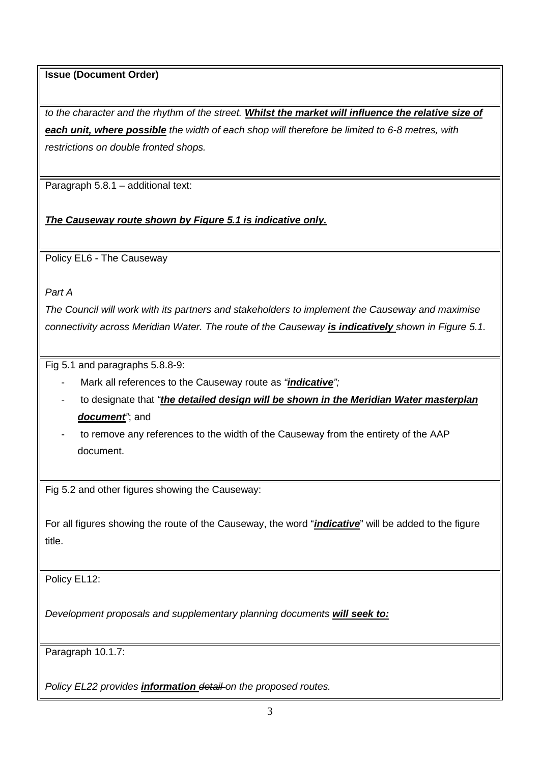*to the character and the rhythm of the street. Whilst the market will influence the relative size of each unit, where possible the width of each shop will therefore be limited to 6-8 metres, with restrictions on double fronted shops.*

Paragraph 5.8.1 – additional text:

*The Causeway route shown by Figure 5.1 is indicative only.* 

Policy EL6 - The Causeway

*Part A* 

*The Council will work with its partners and stakeholders to implement the Causeway and maximise connectivity across Meridian Water. The route of the Causeway is indicatively shown in Figure 5.1.*

Fig 5.1 and paragraphs 5.8.8-9:

- Mark all references to the Causeway route as *"indicative";*
- to designate that *"the detailed design will be shown in the Meridian Water masterplan document"*; and
- to remove any references to the width of the Causeway from the entirety of the AAP document.

Fig 5.2 and other figures showing the Causeway:

For all figures showing the route of the Causeway, the word "*indicative*" will be added to the figure title.

Policy EL12:

*Development proposals and supplementary planning documents will seek to:*

Paragraph 10.1.7:

*Policy EL22 provides information detail on the proposed routes.*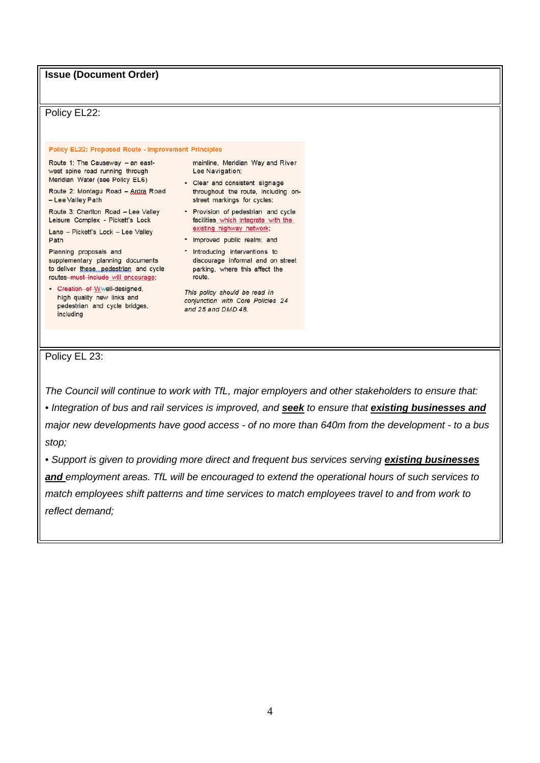Policy EL22:

**Policy EL22: Proposed Route - Improvement Principles** 

Route 1: The Causeway - an eastwest spine road running through Meridian Water (see Policy EL6)

Route 2: Montagu Road - Ardra Road - Lee Valley Path

Route 3: Charlton Road - Lee Valley Leisure Complex - Pickett's Lock

Lane - Pickett's Lock - Lee Valley Path

Planning proposals and supplementary planning documents to deliver these pedestrian and cycle routes must include will encourage:

• Greation of Wwell-designed, high quality new links and pedestrian and cycle bridges, including

mainline, Meridian Way and River Lee Navigation;

- Clear and consistent signage throughout the route, including onstreet markings for cycles;
- Provision of pedestrian and cycle facilities which integrate with the existing highway network;
- · Improved public realm; and
- Introducing interventions to discourage informal and on street parking, where this affect the route.

This policy should be read in conjunction with Core Policies 24 and 25 and DMD 48.

Policy EL 23:

*The Council will continue to work with TfL, major employers and other stakeholders to ensure that:*

*• Integration of bus and rail services is improved, and seek to ensure that existing businesses and major new developments have good access - of no more than 640m from the development - to a bus stop;*

• Support is given to providing more direct and frequent bus services serving **existing businesses** *and employment areas. TfL will be encouraged to extend the operational hours of such services to match employees shift patterns and time services to match employees travel to and from work to reflect demand;*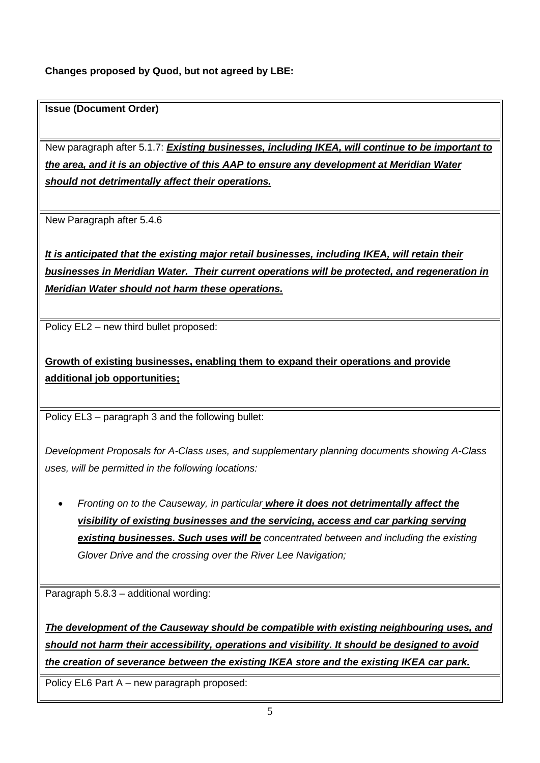## **Changes proposed by Quod, but not agreed by LBE:**

### **Issue (Document Order)**

New paragraph after 5.1.7: *Existing businesses, including IKEA, will continue to be important to the area, and it is an objective of this AAP to ensure any development at Meridian Water should not detrimentally affect their operations.*

New Paragraph after 5.4.6

*It is anticipated that the existing major retail businesses, including IKEA, will retain their businesses in Meridian Water. Their current operations will be protected, and regeneration in Meridian Water should not harm these operations.*

Policy EL2 – new third bullet proposed:

**Growth of existing businesses, enabling them to expand their operations and provide additional job opportunities;**

Policy EL3 – paragraph 3 and the following bullet:

*Development Proposals for A-Class uses, and supplementary planning documents showing A-Class uses, will be permitted in the following locations:* 

• *Fronting on to the Causeway, in particular where it does not detrimentally affect the visibility of existing businesses and the servicing, access and car parking serving existing businesses. Such uses will be concentrated between and including the existing Glover Drive and the crossing over the River Lee Navigation;*

Paragraph 5.8.3 – additional wording:

*The development of the Causeway should be compatible with existing neighbouring uses, and should not harm their accessibility, operations and visibility. It should be designed to avoid the creation of severance between the existing IKEA store and the existing IKEA car park.*

Policy EL6 Part A – new paragraph proposed: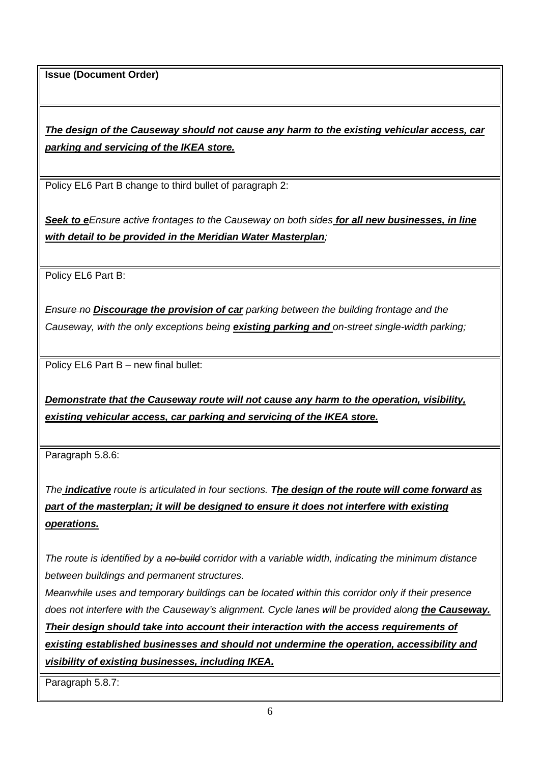*The design of the Causeway should not cause any harm to the existing vehicular access, car parking and servicing of the IKEA store.*

Policy EL6 Part B change to third bullet of paragraph 2:

*Seek to eEnsure active frontages to the Causeway on both sides for all new businesses, in line with detail to be provided in the Meridian Water Masterplan;* 

Policy EL6 Part B:

*Ensure no Discourage the provision of car parking between the building frontage and the Causeway, with the only exceptions being existing parking and on-street single-width parking;*

Policy EL6 Part B – new final bullet:

*Demonstrate that the Causeway route will not cause any harm to the operation, visibility, existing vehicular access, car parking and servicing of the IKEA store.*

Paragraph 5.8.6:

*The indicative route is articulated in four sections. The design of the route will come forward as part of the masterplan; it will be designed to ensure it does not interfere with existing operations.*

*The route is identified by a no-build corridor with a variable width, indicating the minimum distance between buildings and permanent structures.*

*Meanwhile uses and temporary buildings can be located within this corridor only if their presence does not interfere with the Causeway's alignment. Cycle lanes will be provided along the Causeway. Their design should take into account their interaction with the access requirements of existing established businesses and should not undermine the operation, accessibility and visibility of existing businesses, including IKEA.*

Paragraph 5.8.7: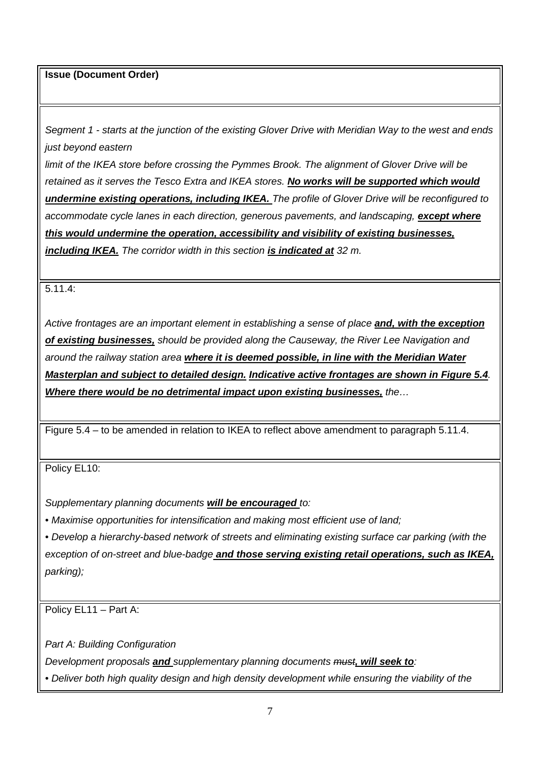*Segment 1 - starts at the junction of the existing Glover Drive with Meridian Way to the west and ends just beyond eastern*

*limit of the IKEA store before crossing the Pymmes Brook. The alignment of Glover Drive will be retained as it serves the Tesco Extra and IKEA stores. No works will be supported which would undermine existing operations, including IKEA. The profile of Glover Drive will be reconfigured to accommodate cycle lanes in each direction, generous pavements, and landscaping, except where this would undermine the operation, accessibility and visibility of existing businesses, including IKEA. The corridor width in this section is indicated at 32 m.*

5.11.4:

*Active frontages are an important element in establishing a sense of place and, with the exception of existing businesses, should be provided along the Causeway, the River Lee Navigation and around the railway station area where it is deemed possible, in line with the Meridian Water Masterplan and subject to detailed design. Indicative active frontages are shown in Figure 5.4. Where there would be no detrimental impact upon existing businesses, the…*

Figure 5.4 – to be amended in relation to IKEA to reflect above amendment to paragraph 5.11.4.

Policy EL10:

*Supplementary planning documents will be encouraged to:*

• Maximise opportunities for intensification and making most efficient use of land;

*• Develop a hierarchy-based network of streets and eliminating existing surface car parking (with the exception of on-street and blue-badge and those serving existing retail operations, such as IKEA, parking);*

Policy EL11 – Part A:

*Part A: Building Configuration* 

*Development proposals and supplementary planning documents must, will seek to:*

*• Deliver both high quality design and high density development while ensuring the viability of the*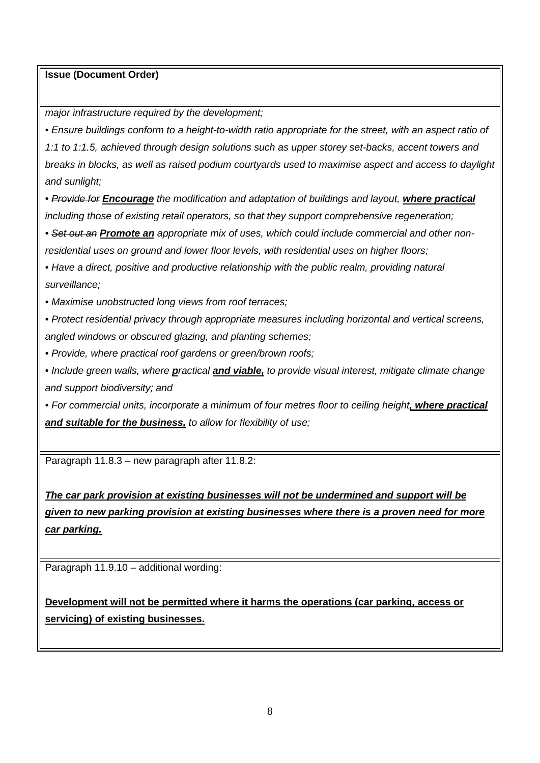*major infrastructure required by the development;* 

*• Ensure buildings conform to a height-to-width ratio appropriate for the street, with an aspect ratio of 1:1 to 1:1.5, achieved through design solutions such as upper storey set-backs, accent towers and breaks in blocks, as well as raised podium courtyards used to maximise aspect and access to daylight and sunlight;*

*• Provide for Encourage the modification and adaptation of buildings and layout, where practical including those of existing retail operators, so that they support comprehensive regeneration;*

*• Set out an Promote an appropriate mix of uses, which could include commercial and other nonresidential uses on ground and lower floor levels, with residential uses on higher floors;*

• Have a direct, positive and productive relationship with the public realm, providing natural *surveillance;*

*• Maximise unobstructed long views from roof terraces;*

*• Protect residential privacy through appropriate measures including horizontal and vertical screens, angled windows or obscured glazing, and planting schemes;*

*• Provide, where practical roof gardens or green/brown roofs;*

*• Include green walls, where practical and viable, to provide visual interest, mitigate climate change and support biodiversity; and*

*• For commercial units, incorporate a minimum of four metres floor to ceiling height, where practical and suitable for the business, to allow for flexibility of use;*

Paragraph 11.8.3 – new paragraph after 11.8.2:

*The car park provision at existing businesses will not be undermined and support will be given to new parking provision at existing businesses where there is a proven need for more car parking.*

Paragraph 11.9.10 – additional wording:

**Development will not be permitted where it harms the operations (car parking, access or servicing) of existing businesses.**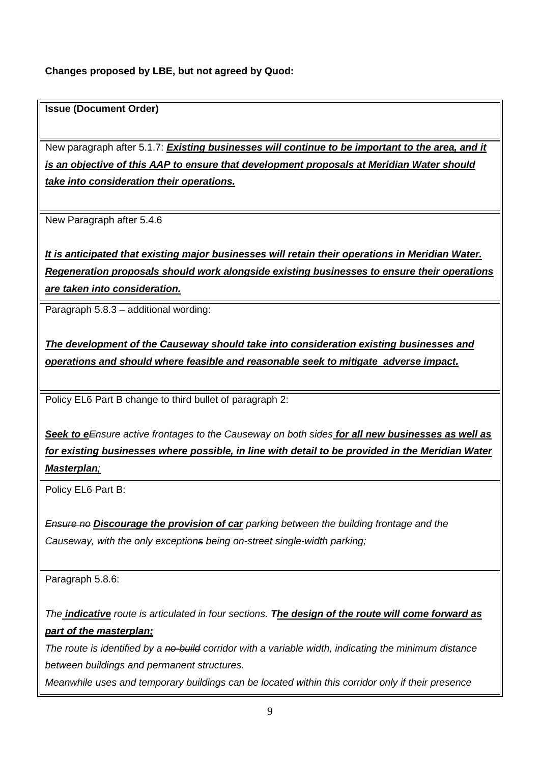### **Changes proposed by LBE, but not agreed by Quod:**

#### **Issue (Document Order)**

New paragraph after 5.1.7: *Existing businesses will continue to be important to the area, and it is an objective of this AAP to ensure that development proposals at Meridian Water should take into consideration their operations.*

New Paragraph after 5.4.6

*It is anticipated that existing major businesses will retain their operations in Meridian Water. Regeneration proposals should work alongside existing businesses to ensure their operations are taken into consideration.* 

Paragraph 5.8.3 – additional wording:

*The development of the Causeway should take into consideration existing businesses and operations and should where feasible and reasonable seek to mitigate adverse impact.* 

Policy EL6 Part B change to third bullet of paragraph 2:

*Seek to eEnsure active frontages to the Causeway on both sides for all new businesses as well as for existing businesses where possible, in line with detail to be provided in the Meridian Water Masterplan;* 

Policy EL6 Part B:

*Ensure no Discourage the provision of car parking between the building frontage and the Causeway, with the only exceptions being on-street single-width parking;*

Paragraph 5.8.6:

*The indicative route is articulated in four sections. The design of the route will come forward as part of the masterplan;* 

*The route is identified by a no-build corridor with a variable width, indicating the minimum distance between buildings and permanent structures.*

*Meanwhile uses and temporary buildings can be located within this corridor only if their presence*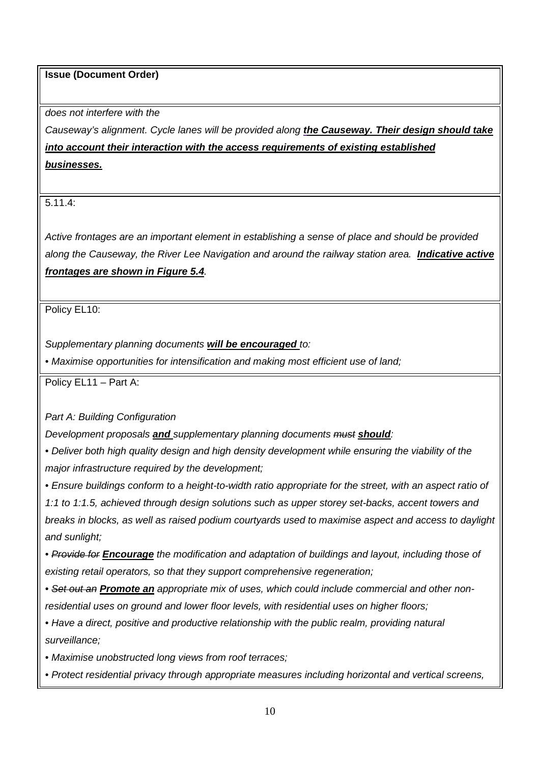*does not interfere with the*

*Causeway's alignment. Cycle lanes will be provided along the Causeway. Their design should take into account their interaction with the access requirements of existing established businesses.*

5.11.4:

*Active frontages are an important element in establishing a sense of place and should be provided along the Causeway, the River Lee Navigation and around the railway station area. Indicative active frontages are shown in Figure 5.4.*

Policy EL10:

*Supplementary planning documents will be encouraged to:*

• Maximise opportunities for intensification and making most efficient use of land;

Policy EL11 – Part A:

*Part A: Building Configuration* 

*Development proposals and supplementary planning documents must should:*

*• Deliver both high quality design and high density development while ensuring the viability of the major infrastructure required by the development;* 

*• Ensure buildings conform to a height-to-width ratio appropriate for the street, with an aspect ratio of* 

*1:1 to 1:1.5, achieved through design solutions such as upper storey set-backs, accent towers and breaks in blocks, as well as raised podium courtyards used to maximise aspect and access to daylight and sunlight;*

*• Provide for Encourage the modification and adaptation of buildings and layout, including those of existing retail operators, so that they support comprehensive regeneration;*

*• Set out an Promote an appropriate mix of uses, which could include commercial and other nonresidential uses on ground and lower floor levels, with residential uses on higher floors;*

• Have a direct, positive and productive relationship with the *public realm, providing natural surveillance;*

*• Maximise unobstructed long views from roof terraces;*

*• Protect residential privacy through appropriate measures including horizontal and vertical screens,*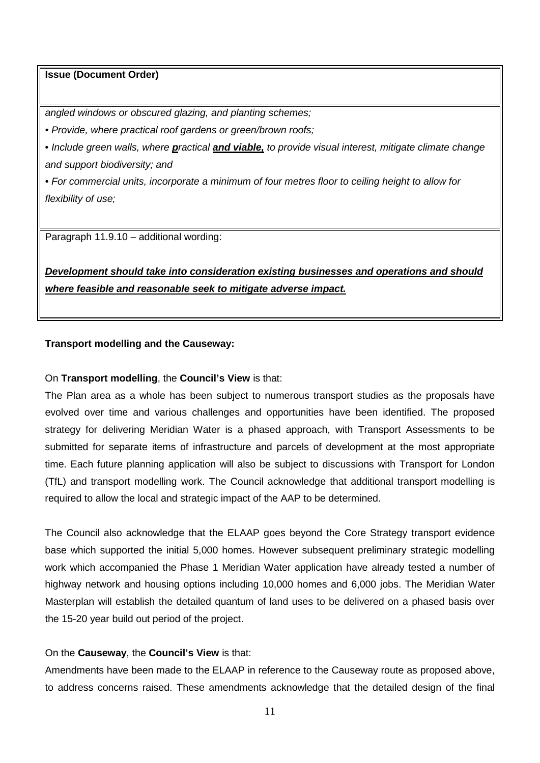*angled windows or obscured glazing, and planting schemes;*

*• Provide, where practical roof gardens or green/brown roofs;*

*• Include green walls, where practical and viable, to provide visual interest, mitigate climate change and support biodiversity; and*

*• For commercial units, incorporate a minimum of four metres floor to ceiling height to allow for flexibility of use;*

Paragraph 11.9.10 – additional wording:

*Development should take into consideration existing businesses and operations and should where feasible and reasonable seek to mitigate adverse impact.*

#### **Transport modelling and the Causeway:**

#### On **Transport modelling**, the **Council's View** is that:

The Plan area as a whole has been subject to numerous transport studies as the proposals have evolved over time and various challenges and opportunities have been identified. The proposed strategy for delivering Meridian Water is a phased approach, with Transport Assessments to be submitted for separate items of infrastructure and parcels of development at the most appropriate time. Each future planning application will also be subject to discussions with Transport for London (TfL) and transport modelling work. The Council acknowledge that additional transport modelling is required to allow the local and strategic impact of the AAP to be determined.

The Council also acknowledge that the ELAAP goes beyond the Core Strategy transport evidence base which supported the initial 5,000 homes. However subsequent preliminary strategic modelling work which accompanied the Phase 1 Meridian Water application have already tested a number of highway network and housing options including 10,000 homes and 6,000 jobs. The Meridian Water Masterplan will establish the detailed quantum of land uses to be delivered on a phased basis over the 15-20 year build out period of the project.

#### On the **Causeway**, the **Council's View** is that:

Amendments have been made to the ELAAP in reference to the Causeway route as proposed above, to address concerns raised. These amendments acknowledge that the detailed design of the final